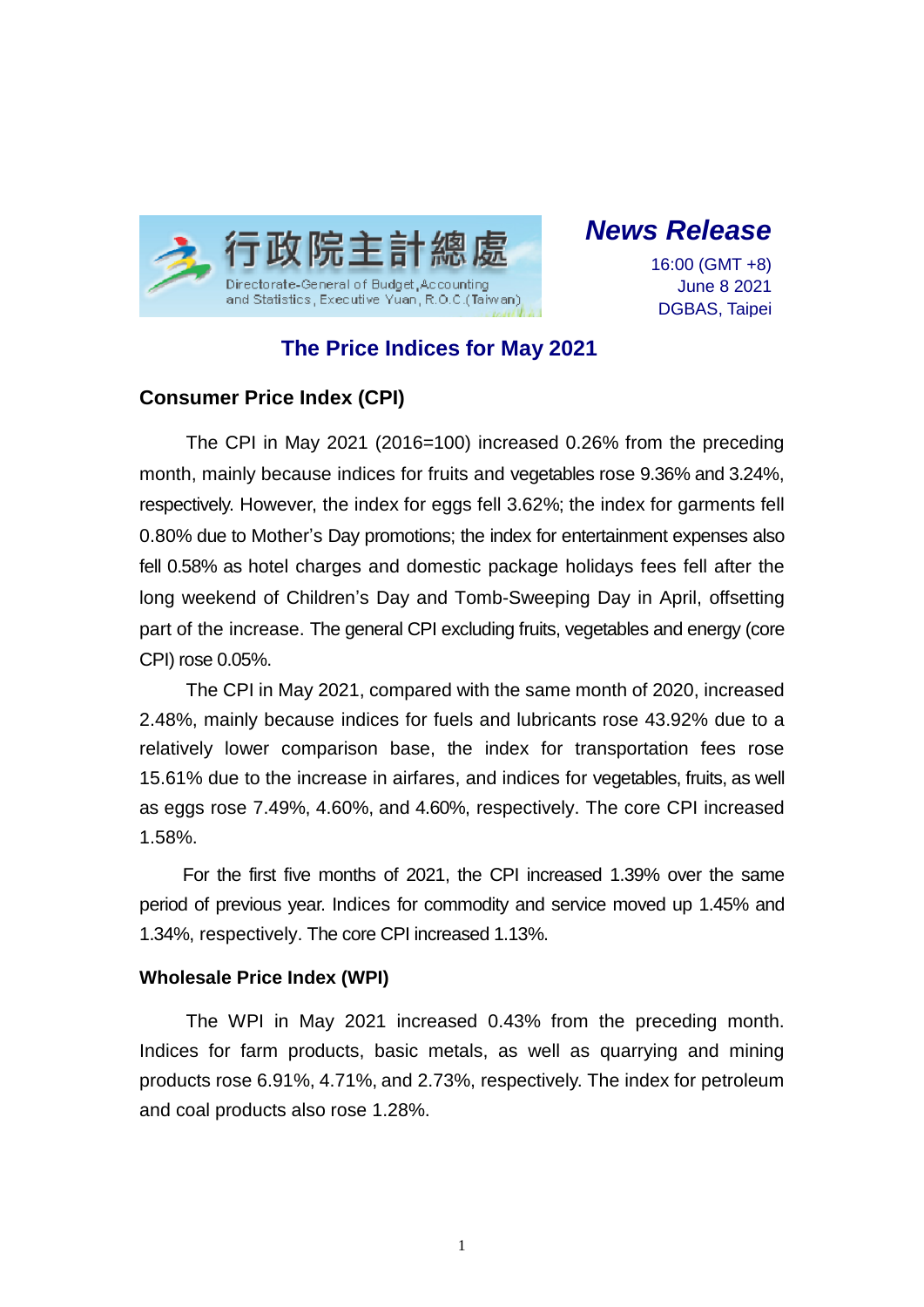

*News Release*

16:00 (GMT +8) June 8 2021 DGBAS, Taipei

# **The Price Indices for May 2021**

## **Consumer Price Index (CPI)**

The CPI in May 2021 (2016=100) increased 0.26% from the preceding month, mainly because indices for fruits and vegetables rose 9.36% and 3.24%, respectively. However, the index for eggs fell 3.62%; the index for garments fell 0.80% due to Mother's Day promotions; the index for entertainment expenses also fell 0.58% as hotel charges and domestic package holidays fees fell after the long weekend of Children's Day and Tomb-Sweeping Day in April, offsetting part of the increase. The general CPI excluding fruits, vegetables and energy (core CPI) rose 0.05%.

The CPI in May 2021, compared with the same month of 2020, increased 2.48%, mainly because indices for fuels and lubricants rose 43.92% due to a relatively lower comparison base, the index for transportation fees rose 15.61% due to the increase in airfares, and indices for vegetables, fruits, as well as eggs rose 7.49%, 4.60%, and 4.60%, respectively. The core CPI increased 1.58%.

For the first five months of 2021, the CPI increased 1.39% over the same period of previous year. Indices for commodity and service moved up 1.45% and 1.34%, respectively. The core CPI increased 1.13%.

### **Wholesale Price Index (WPI)**

The WPI in May 2021 increased 0.43% from the preceding month. Indices for farm products, basic metals, as well as quarrying and mining products rose 6.91%, 4.71%, and 2.73%, respectively. The index for petroleum and coal products also rose 1.28%.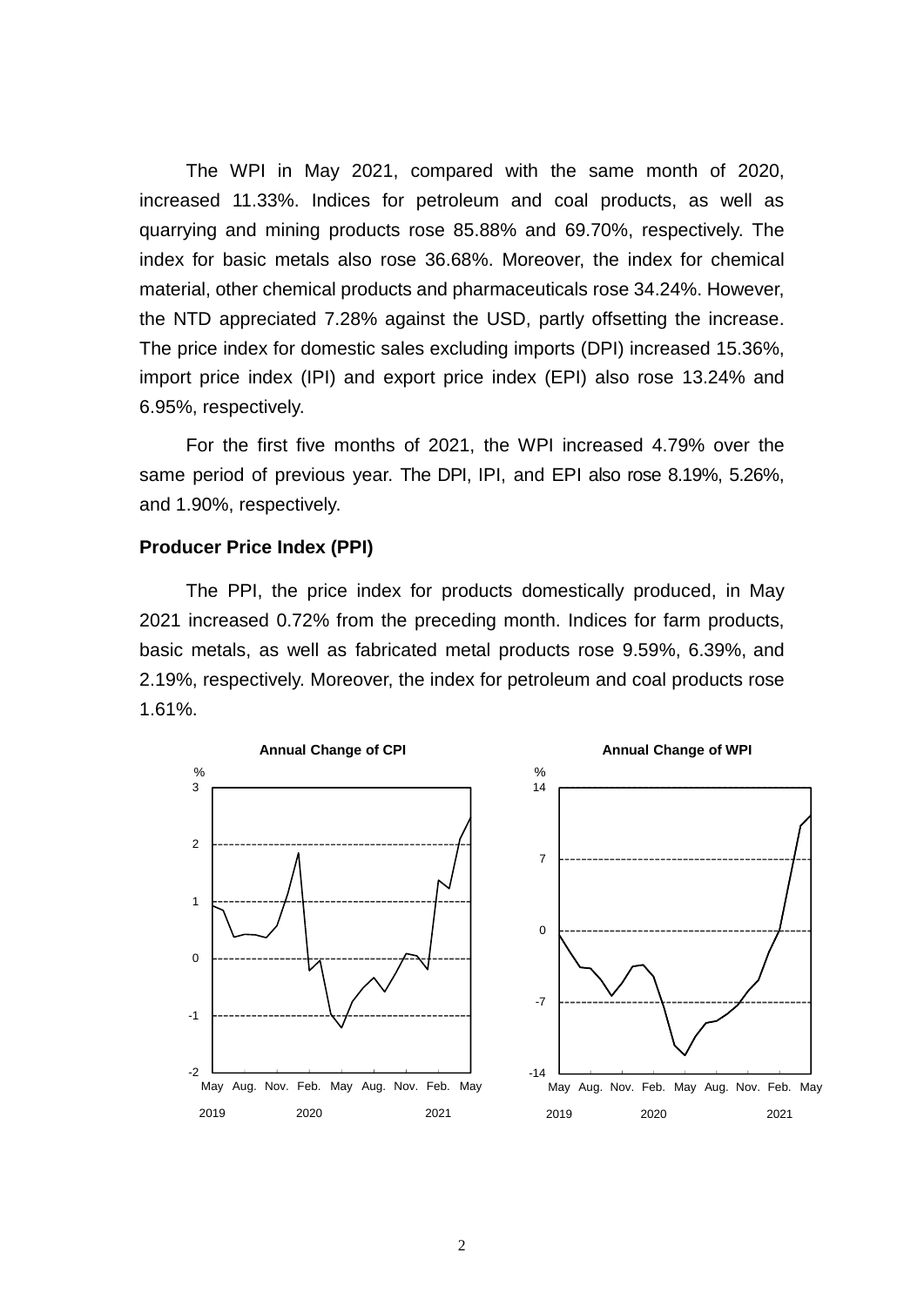The WPI in May 2021, compared with the same month of 2020, increased 11.33%. Indices for petroleum and coal products, as well as quarrying and mining products rose 85.88% and 69.70%, respectively. The index for basic metals also rose 36.68%. Moreover, the index for chemical material, other chemical products and pharmaceuticals rose 34.24%. However, the NTD appreciated 7.28% against the USD, partly offsetting the increase. The price index for domestic sales excluding imports (DPI) increased 15.36%, import price index (IPI) and export price index (EPI) also rose 13.24% and 6.95%, respectively.

For the first five months of 2021, the WPI increased 4.79% over the same period of previous year. The DPI, IPI, and EPI also rose 8.19%, 5.26%, and 1.90%, respectively.

#### **Producer Price Index (PPI)**

The PPI, the price index for products domestically produced, in May 2021 increased 0.72% from the preceding month. Indices for farm products, basic metals, as well as fabricated metal products rose 9.59%, 6.39%, and 2.19%, respectively. Moreover, the index for petroleum and coal products rose 1.61%.